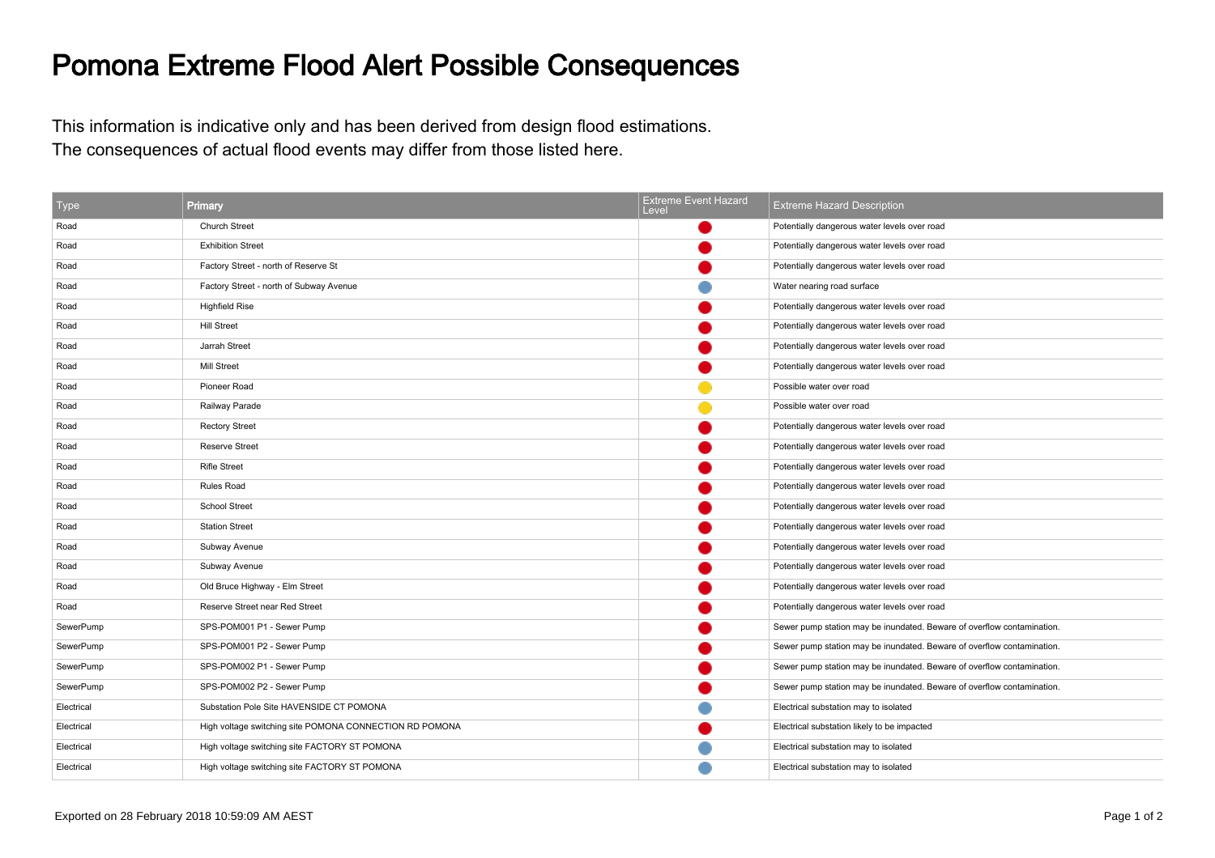## Pomona Extreme Flood Alert Possible Consequences

This information is indicative only and has been derived from design flood estimations.The consequences of actual flood events may differ from those listed here.

| Type       | Primary                                                 | <b>Extreme Event Hazard</b><br>Level | <b>Extreme Hazard Description</b>                                      |
|------------|---------------------------------------------------------|--------------------------------------|------------------------------------------------------------------------|
| Road       | Church Street                                           |                                      | Potentially dangerous water levels over road                           |
| Road       | <b>Exhibition Street</b>                                |                                      | Potentially dangerous water levels over road                           |
| Road       | Factory Street - north of Reserve St                    |                                      | Potentially dangerous water levels over road                           |
| Road       | Factory Street - north of Subway Avenue                 |                                      | Water nearing road surface                                             |
| Road       | <b>Highfield Rise</b>                                   |                                      | Potentially dangerous water levels over road                           |
| Road       | <b>Hill Street</b>                                      |                                      | Potentially dangerous water levels over road                           |
| Road       | Jarrah Street                                           |                                      | Potentially dangerous water levels over road                           |
| Road       | <b>Mill Street</b>                                      |                                      | Potentially dangerous water levels over road                           |
| Road       | Pioneer Road                                            |                                      | Possible water over road                                               |
| Road       | Railway Parade                                          |                                      | Possible water over road                                               |
| Road       | <b>Rectory Street</b>                                   |                                      | Potentially dangerous water levels over road                           |
| Road       | <b>Reserve Street</b>                                   |                                      | Potentially dangerous water levels over road                           |
| Road       | <b>Rifle Street</b>                                     |                                      | Potentially dangerous water levels over road                           |
| Road       | Rules Road                                              |                                      | Potentially dangerous water levels over road                           |
| Road       | <b>School Street</b>                                    |                                      | Potentially dangerous water levels over road                           |
| Road       | <b>Station Street</b>                                   |                                      | Potentially dangerous water levels over road                           |
| Road       | Subway Avenue                                           |                                      | Potentially dangerous water levels over road                           |
| Road       | Subway Avenue                                           |                                      | Potentially dangerous water levels over road                           |
| Road       | Old Bruce Highway - Elm Street                          |                                      | Potentially dangerous water levels over road                           |
| Road       | Reserve Street near Red Street                          |                                      | Potentially dangerous water levels over road                           |
| SewerPump  | SPS-POM001 P1 - Sewer Pump                              |                                      | Sewer pump station may be inundated. Beware of overflow contamination. |
| SewerPump  | SPS-POM001 P2 - Sewer Pump                              |                                      | Sewer pump station may be inundated. Beware of overflow contamination. |
| SewerPump  | SPS-POM002 P1 - Sewer Pump                              |                                      | Sewer pump station may be inundated. Beware of overflow contamination. |
| SewerPump  | SPS-POM002 P2 - Sewer Pump                              |                                      | Sewer pump station may be inundated. Beware of overflow contamination. |
| Electrical | Substation Pole Site HAVENSIDE CT POMONA                |                                      | Electrical substation may to isolated                                  |
| Electrical | High voltage switching site POMONA CONNECTION RD POMONA |                                      | Electrical substation likely to be impacted                            |
| Electrical | High voltage switching site FACTORY ST POMONA           |                                      | Electrical substation may to isolated                                  |
| Electrical | High voltage switching site FACTORY ST POMONA           |                                      | Electrical substation may to isolated                                  |